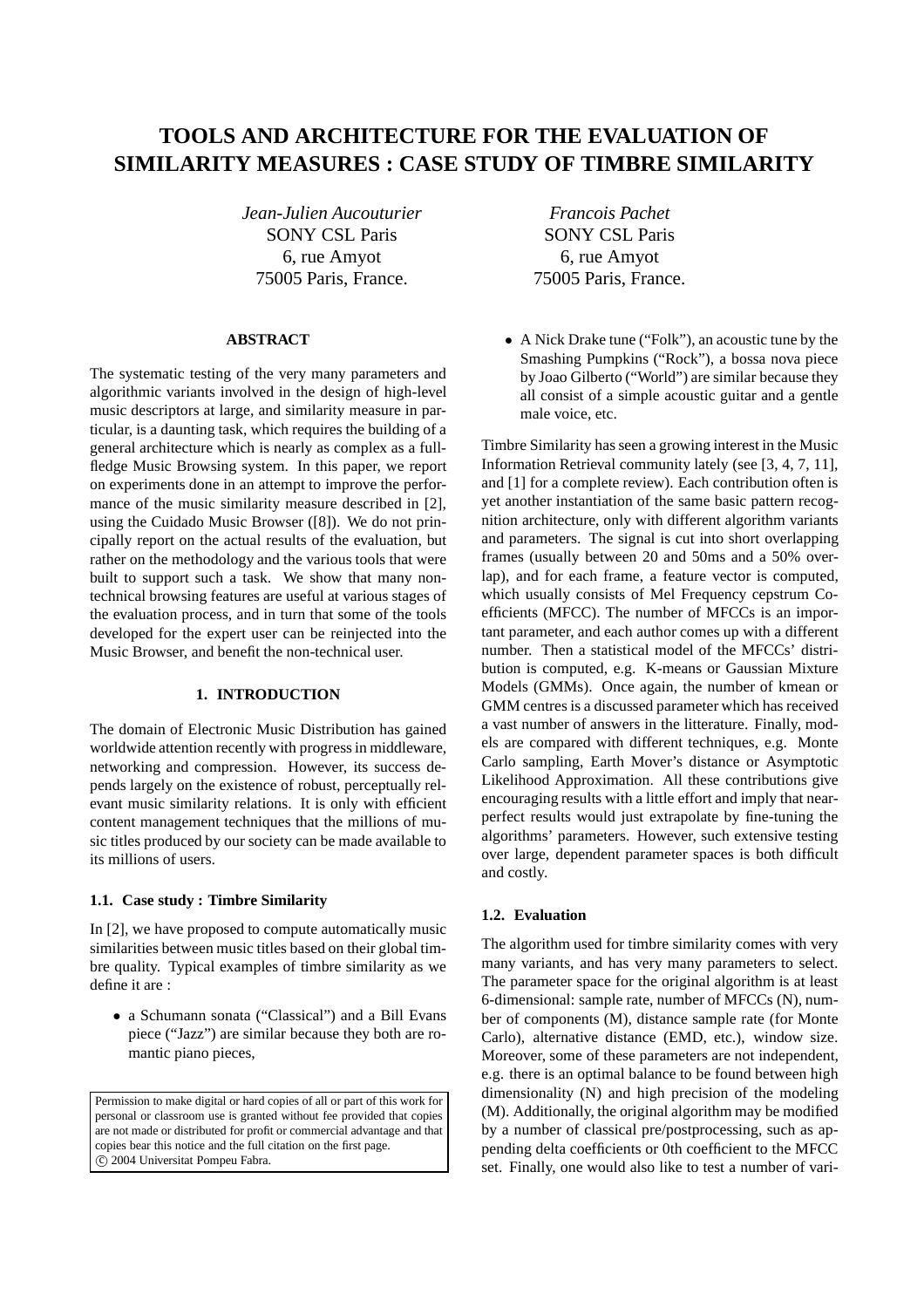# **TOOLS AND ARCHITECTURE FOR THE EVALUATION OF SIMILARITY MEASURES : CASE STUDY OF TIMBRE SIMILARITY**

*Jean-Julien Aucouturier* SONY CSL Paris 6, rue Amyot 75005 Paris, France.

## **ABSTRACT**

The systematic testing of the very many parameters and algorithmic variants involved in the design of high-level music descriptors at large, and similarity measure in particular, is a daunting task, which requires the building of a general architecture which is nearly as complex as a fullfledge Music Browsing system. In this paper, we report on experiments done in an attempt to improve the performance of the music similarity measure described in [2], using the Cuidado Music Browser ([8]). We do not principally report on the actual results of the evaluation, but rather on the methodology and the various tools that were built to support such a task. We show that many nontechnical browsing features are useful at various stages of the evaluation process, and in turn that some of the tools developed for the expert user can be reinjected into the Music Browser, and benefit the non-technical user.

## **1. INTRODUCTION**

The domain of Electronic Music Distribution has gained worldwide attention recently with progress in middleware, networking and compression. However, its success depends largely on the existence of robust, perceptually relevant music similarity relations. It is only with efficient content management techniques that the millions of music titles produced by our society can be made available to its millions of users.

## **1.1. Case study : Timbre Similarity**

In [2], we have proposed to compute automatically music similarities between music titles based on their global timbre quality. Typical examples of timbre similarity as we define it are :

• a Schumann sonata ("Classical") and a Bill Evans piece ("Jazz") are similar because they both are romantic piano pieces,

Permission to make digital or hard copies of all or part of this work for personal or classroom use is granted without fee provided that copies are not made or distributed for profit or commercial advantage and that copies bear this notice and the full citation on the first page. c 2004 Universitat Pompeu Fabra.

*Francois Pachet* SONY CSL Paris 6, rue Amyot 75005 Paris, France.

• A Nick Drake tune ("Folk"), an acoustic tune by the Smashing Pumpkins ("Rock"), a bossa nova piece by Joao Gilberto ("World") are similar because they all consist of a simple acoustic guitar and a gentle male voice, etc.

Timbre Similarity has seen a growing interest in the Music Information Retrieval community lately (see [3, 4, 7, 11], and [1] for a complete review). Each contribution often is yet another instantiation of the same basic pattern recognition architecture, only with different algorithm variants and parameters. The signal is cut into short overlapping frames (usually between 20 and 50ms and a 50% overlap), and for each frame, a feature vector is computed, which usually consists of Mel Frequency cepstrum Coefficients (MFCC). The number of MFCCs is an important parameter, and each author comes up with a different number. Then a statistical model of the MFCCs' distribution is computed, e.g. K-means or Gaussian Mixture Models (GMMs). Once again, the number of kmean or GMM centres is a discussed parameter which has received a vast number of answers in the litterature. Finally, models are compared with different techniques, e.g. Monte Carlo sampling, Earth Mover's distance or Asymptotic Likelihood Approximation. All these contributions give encouraging results with a little effort and imply that nearperfect results would just extrapolate by fine-tuning the algorithms' parameters. However, such extensive testing over large, dependent parameter spaces is both difficult and costly.

### **1.2. Evaluation**

The algorithm used for timbre similarity comes with very many variants, and has very many parameters to select. The parameter space for the original algorithm is at least 6-dimensional: sample rate, number of MFCCs (N), number of components (M), distance sample rate (for Monte Carlo), alternative distance (EMD, etc.), window size. Moreover, some of these parameters are not independent, e.g. there is an optimal balance to be found between high dimensionality (N) and high precision of the modeling (M). Additionally, the original algorithm may be modified by a number of classical pre/postprocessing, such as appending delta coefficients or 0th coefficient to the MFCC set. Finally, one would also like to test a number of vari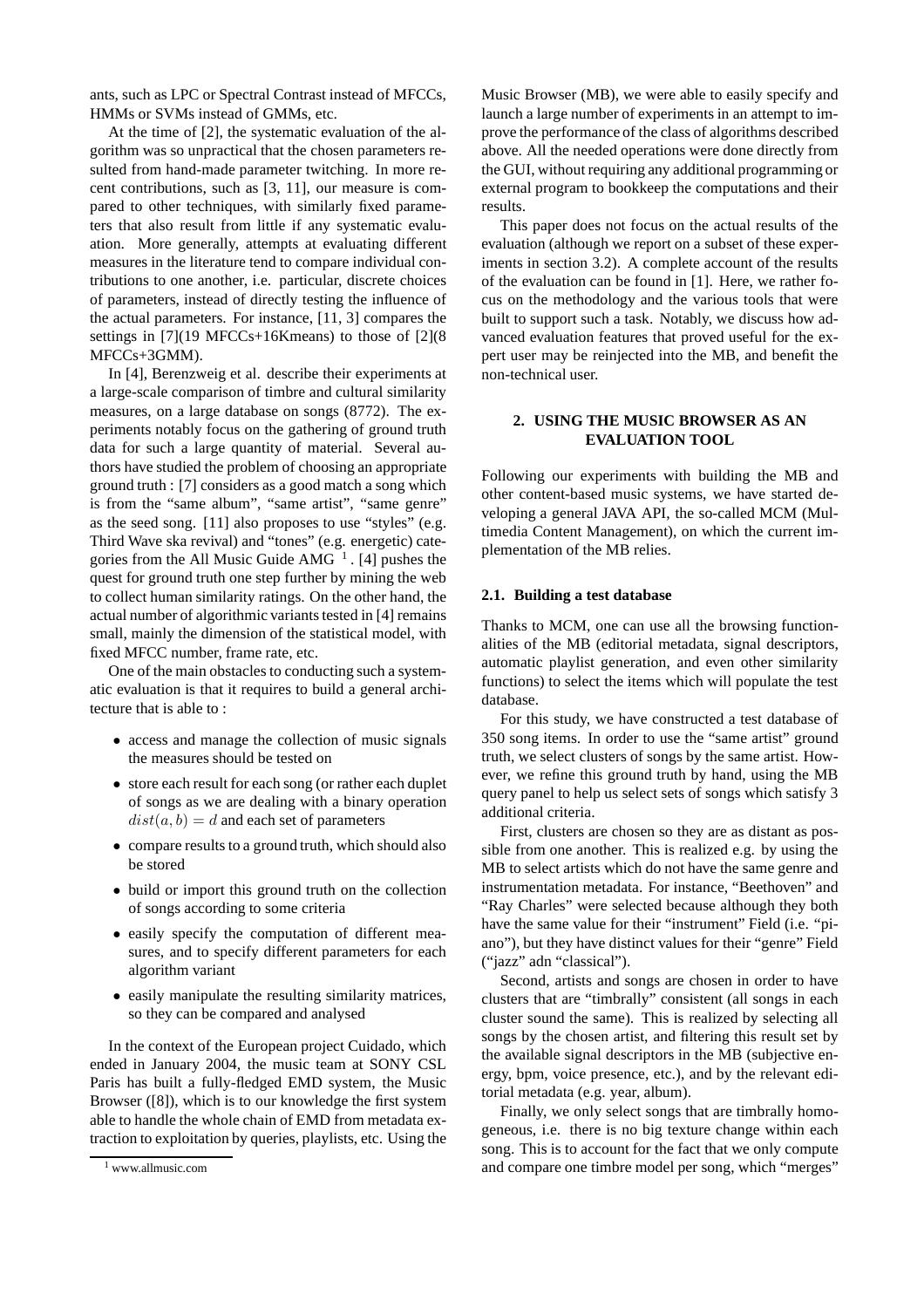ants, such as LPC or Spectral Contrast instead of MFCCs, HMMs or SVMs instead of GMMs, etc.

At the time of [2], the systematic evaluation of the algorithm was so unpractical that the chosen parameters resulted from hand-made parameter twitching. In more recent contributions, such as [3, 11], our measure is compared to other techniques, with similarly fixed parameters that also result from little if any systematic evaluation. More generally, attempts at evaluating different measures in the literature tend to compare individual contributions to one another, i.e. particular, discrete choices of parameters, instead of directly testing the influence of the actual parameters. For instance, [11, 3] compares the settings in [7](19 MFCCs+16Kmeans) to those of [2](8 MFCCs+3GMM).

In [4], Berenzweig et al. describe their experiments at a large-scale comparison of timbre and cultural similarity measures, on a large database on songs (8772). The experiments notably focus on the gathering of ground truth data for such a large quantity of material. Several authors have studied the problem of choosing an appropriate ground truth : [7] considers as a good match a song which is from the "same album", "same artist", "same genre" as the seed song. [11] also proposes to use "styles" (e.g. Third Wave ska revival) and "tones" (e.g. energetic) categories from the All Music Guide AMG  $<sup>1</sup>$ . [4] pushes the</sup> quest for ground truth one step further by mining the web to collect human similarity ratings. On the other hand, the actual number of algorithmic variants tested in [4] remains small, mainly the dimension of the statistical model, with fixed MFCC number, frame rate, etc.

One of the main obstacles to conducting such a systematic evaluation is that it requires to build a general architecture that is able to :

- access and manage the collection of music signals the measures should be tested on
- store each result for each song (or rather each duplet of songs as we are dealing with a binary operation  $dist(a, b) = d$  and each set of parameters
- compare results to a ground truth, which should also be stored
- build or import this ground truth on the collection of songs according to some criteria
- easily specify the computation of different measures, and to specify different parameters for each algorithm variant
- easily manipulate the resulting similarity matrices, so they can be compared and analysed

In the context of the European project Cuidado, which ended in January 2004, the music team at SONY CSL Paris has built a fully-fledged EMD system, the Music Browser ([8]), which is to our knowledge the first system able to handle the whole chain of EMD from metadata extraction to exploitation by queries, playlists, etc. Using the Music Browser (MB), we were able to easily specify and launch a large number of experiments in an attempt to improve the performance of the class of algorithms described above. All the needed operations were done directly from the GUI, without requiring any additional programming or external program to bookkeep the computations and their results.

This paper does not focus on the actual results of the evaluation (although we report on a subset of these experiments in section 3.2). A complete account of the results of the evaluation can be found in [1]. Here, we rather focus on the methodology and the various tools that were built to support such a task. Notably, we discuss how advanced evaluation features that proved useful for the expert user may be reinjected into the MB, and benefit the non-technical user.

## **2. USING THE MUSIC BROWSER AS AN EVALUATION TOOL**

Following our experiments with building the MB and other content-based music systems, we have started developing a general JAVA API, the so-called MCM (Multimedia Content Management), on which the current implementation of the MB relies.

#### **2.1. Building a test database**

Thanks to MCM, one can use all the browsing functionalities of the MB (editorial metadata, signal descriptors, automatic playlist generation, and even other similarity functions) to select the items which will populate the test database.

For this study, we have constructed a test database of 350 song items. In order to use the "same artist" ground truth, we select clusters of songs by the same artist. However, we refine this ground truth by hand, using the MB query panel to help us select sets of songs which satisfy 3 additional criteria.

First, clusters are chosen so they are as distant as possible from one another. This is realized e.g. by using the MB to select artists which do not have the same genre and instrumentation metadata. For instance, "Beethoven" and "Ray Charles" were selected because although they both have the same value for their "instrument" Field (i.e. "piano"), but they have distinct values for their "genre" Field ("jazz" adn "classical").

Second, artists and songs are chosen in order to have clusters that are "timbrally" consistent (all songs in each cluster sound the same). This is realized by selecting all songs by the chosen artist, and filtering this result set by the available signal descriptors in the MB (subjective energy, bpm, voice presence, etc.), and by the relevant editorial metadata (e.g. year, album).

Finally, we only select songs that are timbrally homogeneous, i.e. there is no big texture change within each song. This is to account for the fact that we only compute and compare one timbre model per song, which "merges"

<sup>1</sup> www.allmusic.com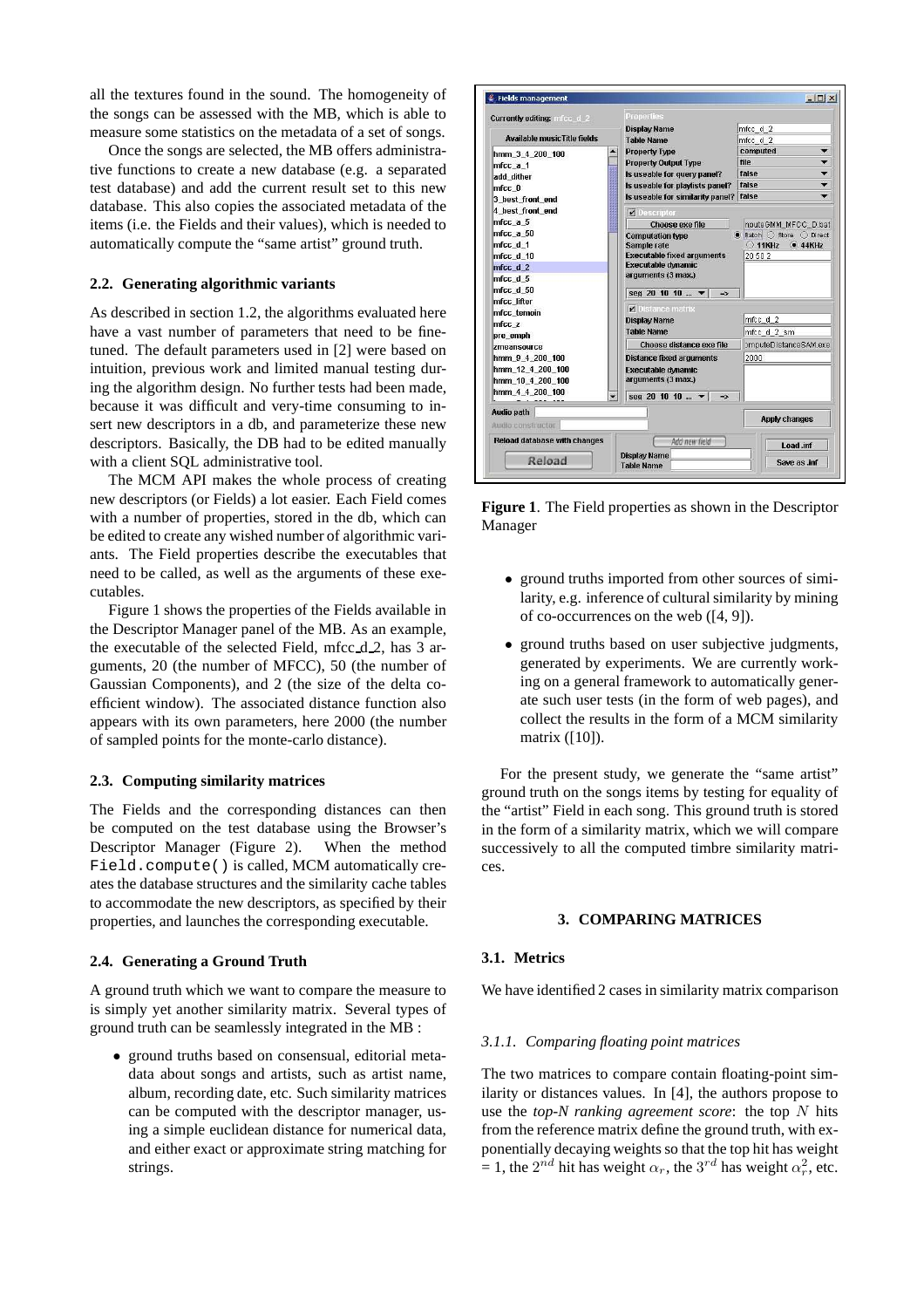all the textures found in the sound. The homogeneity of the songs can be assessed with the MB, which is able to measure some statistics on the metadata of a set of songs.

Once the songs are selected, the MB offers administrative functions to create a new database (e.g. a separated test database) and add the current result set to this new database. This also copies the associated metadata of the items (i.e. the Fields and their values), which is needed to automatically compute the "same artist" ground truth.

## **2.2. Generating algorithmic variants**

As described in section 1.2, the algorithms evaluated here have a vast number of parameters that need to be finetuned. The default parameters used in [2] were based on intuition, previous work and limited manual testing during the algorithm design. No further tests had been made, because it was difficult and very-time consuming to insert new descriptors in a db, and parameterize these new descriptors. Basically, the DB had to be edited manually with a client SQL administrative tool.

The MCM API makes the whole process of creating new descriptors (or Fields) a lot easier. Each Field comes with a number of properties, stored in the db, which can be edited to create any wished number of algorithmic variants. The Field properties describe the executables that need to be called, as well as the arguments of these executables.

Figure 1 shows the properties of the Fields available in the Descriptor Manager panel of the MB. As an example, the executable of the selected Field, mfcc\_d\_2, has 3 arguments, 20 (the number of MFCC), 50 (the number of Gaussian Components), and 2 (the size of the delta coefficient window). The associated distance function also appears with its own parameters, here 2000 (the number of sampled points for the monte-carlo distance).

## **2.3. Computing similarity matrices**

The Fields and the corresponding distances can then be computed on the test database using the Browser's Descriptor Manager (Figure 2). When the method Field.compute() is called, MCM automatically creates the database structures and the similarity cache tables to accommodate the new descriptors, as specified by their properties, and launches the corresponding executable.

## **2.4. Generating a Ground Truth**

A ground truth which we want to compare the measure to is simply yet another similarity matrix. Several types of ground truth can be seamlessly integrated in the MB :

• ground truths based on consensual, editorial metadata about songs and artists, such as artist name, album, recording date, etc. Such similarity matrices can be computed with the descriptor manager, using a simple euclidean distance for numerical data, and either exact or approximate string matching for strings.



**Figure 1**. The Field properties as shown in the Descriptor Manager

- ground truths imported from other sources of similarity, e.g. inference of cultural similarity by mining of co-occurrences on the web ([4, 9]).
- ground truths based on user subjective judgments, generated by experiments. We are currently working on a general framework to automatically generate such user tests (in the form of web pages), and collect the results in the form of a MCM similarity matrix ([10]).

For the present study, we generate the "same artist" ground truth on the songs items by testing for equality of the "artist" Field in each song. This ground truth is stored in the form of a similarity matrix, which we will compare successively to all the computed timbre similarity matrices.

#### **3. COMPARING MATRICES**

## **3.1. Metrics**

We have identified 2 cases in similarity matrix comparison

## *3.1.1. Comparing floating point matrices*

The two matrices to compare contain floating-point similarity or distances values. In [4], the authors propose to use the *top-N ranking agreement score*: the top N hits from the reference matrix define the ground truth, with exponentially decaying weights so that the top hit has weight = 1, the  $2^{nd}$  hit has weight  $\alpha_r$ , the  $3^{rd}$  has weight  $\alpha_r^2$ , etc.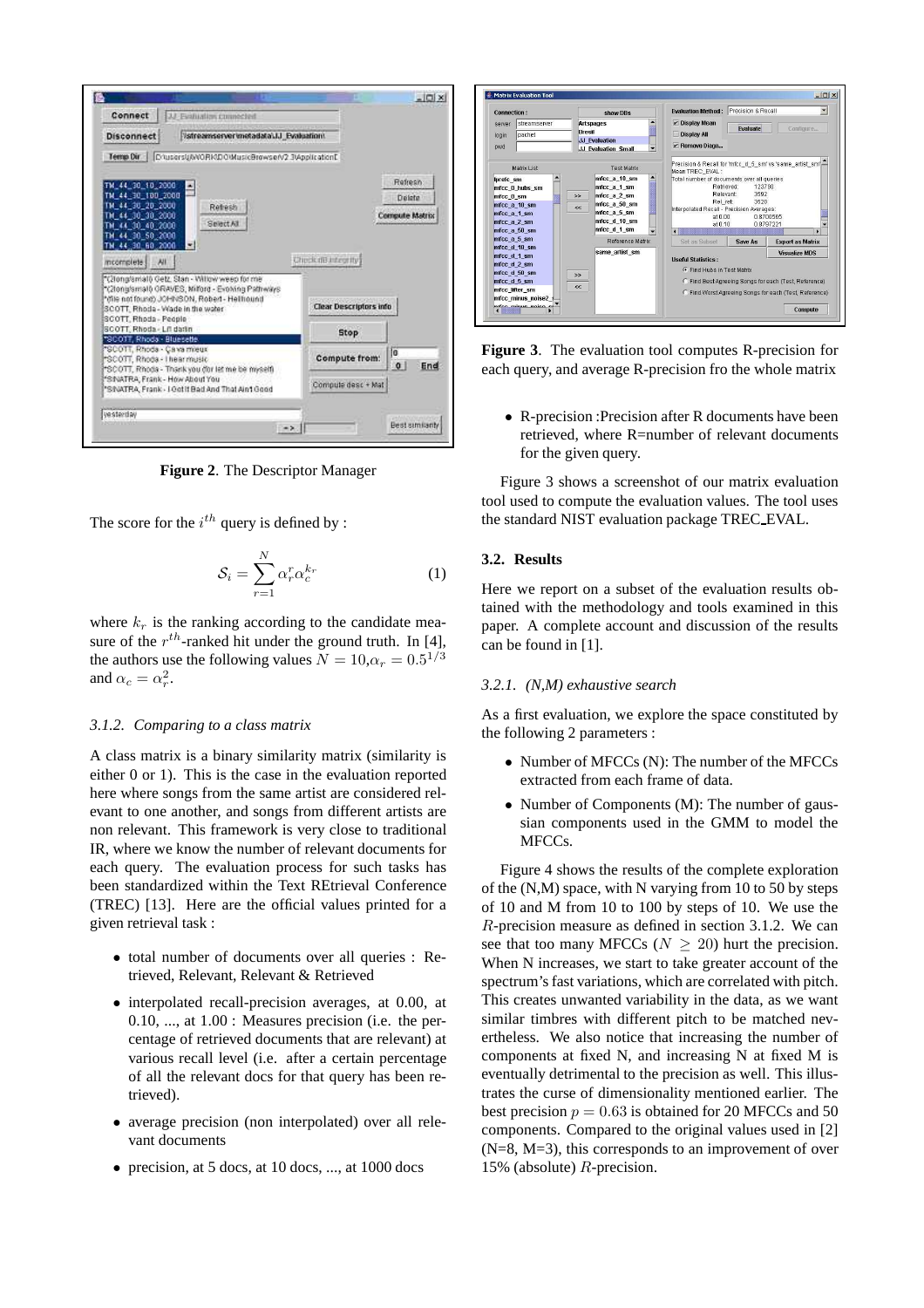

**Figure 2**. The Descriptor Manager

The score for the  $i^{th}$  query is defined by :

$$
\mathcal{S}_i = \sum_{r=1}^N \alpha_r^r \alpha_c^{k_r} \tag{1}
$$

where  $k_r$  is the ranking according to the candidate measure of the  $r^{th}$ -ranked hit under the ground truth. In [4], the authors use the following values  $N = 10, \alpha_r = 0.5^{1/3}$ and  $\alpha_c = \alpha_r^2$ .

## *3.1.2. Comparing to a class matrix*

A class matrix is a binary similarity matrix (similarity is either 0 or 1). This is the case in the evaluation reported here where songs from the same artist are considered relevant to one another, and songs from different artists are non relevant. This framework is very close to traditional IR, where we know the number of relevant documents for each query. The evaluation process for such tasks has been standardized within the Text REtrieval Conference (TREC) [13]. Here are the official values printed for a given retrieval task :

- total number of documents over all queries : Retrieved, Relevant, Relevant & Retrieved
- interpolated recall-precision averages, at 0.00, at 0.10, ..., at 1.00 : Measures precision (i.e. the percentage of retrieved documents that are relevant) at various recall level (i.e. after a certain percentage of all the relevant docs for that query has been retrieved).
- average precision (non interpolated) over all relevant documents
- precision, at 5 docs, at 10 docs, ..., at 1000 docs



**Figure 3**. The evaluation tool computes R-precision for each query, and average R-precision fro the whole matrix

• R-precision : Precision after R documents have been retrieved, where R=number of relevant documents for the given query.

Figure 3 shows a screenshot of our matrix evaluation tool used to compute the evaluation values. The tool uses the standard NIST evaluation package TREC EVAL.

## **3.2. Results**

Here we report on a subset of the evaluation results obtained with the methodology and tools examined in this paper. A complete account and discussion of the results can be found in [1].

## *3.2.1. (N,M) exhaustive search*

As a first evaluation, we explore the space constituted by the following 2 parameters :

- Number of MFCCs (N): The number of the MFCCs extracted from each frame of data.
- Number of Components (M): The number of gaussian components used in the GMM to model the MFCCs.

Figure 4 shows the results of the complete exploration of the (N,M) space, with N varying from 10 to 50 by steps of 10 and M from 10 to 100 by steps of 10. We use the R-precision measure as defined in section 3.1.2. We can see that too many MFCCs ( $N \geq 20$ ) hurt the precision. When N increases, we start to take greater account of the spectrum's fast variations, which are correlated with pitch. This creates unwanted variability in the data, as we want similar timbres with different pitch to be matched nevertheless. We also notice that increasing the number of components at fixed N, and increasing N at fixed M is eventually detrimental to the precision as well. This illustrates the curse of dimensionality mentioned earlier. The best precision  $p = 0.63$  is obtained for 20 MFCCs and 50 components. Compared to the original values used in [2] (N=8, M=3), this corresponds to an improvement of over 15% (absolute) R-precision.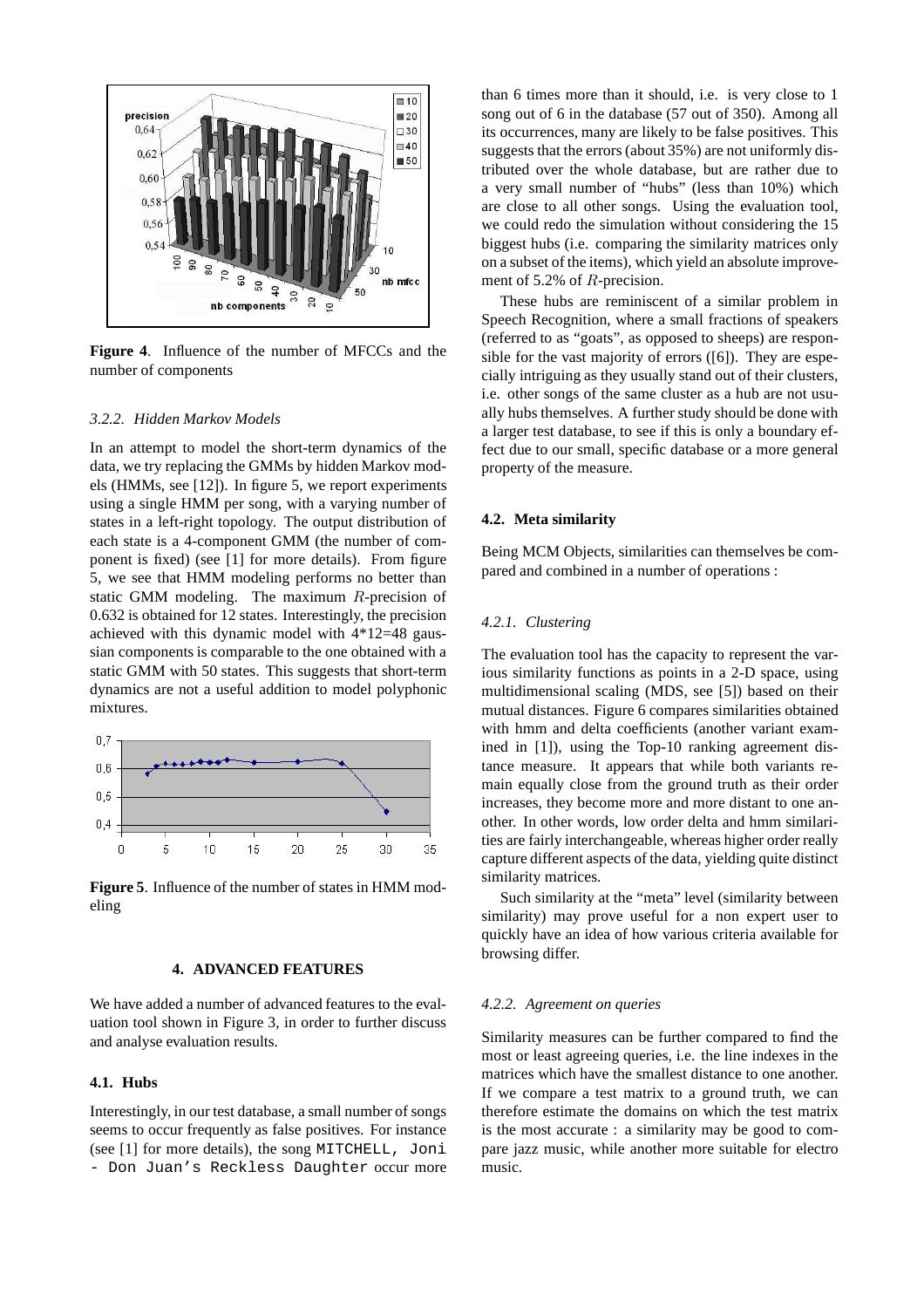

**Figure 4**. Influence of the number of MFCCs and the number of components

#### *3.2.2. Hidden Markov Models*

In an attempt to model the short-term dynamics of the data, we try replacing the GMMs by hidden Markov models (HMMs, see [12]). In figure 5, we report experiments using a single HMM per song, with a varying number of states in a left-right topology. The output distribution of each state is a 4-component GMM (the number of component is fixed) (see [1] for more details). From figure 5, we see that HMM modeling performs no better than static GMM modeling. The maximum R-precision of 0.632 is obtained for 12 states. Interestingly, the precision achieved with this dynamic model with 4\*12=48 gaussian components is comparable to the one obtained with a static GMM with 50 states. This suggests that short-term dynamics are not a useful addition to model polyphonic mixtures.



**Figure 5**. Influence of the number of states in HMM modeling

## **4. ADVANCED FEATURES**

We have added a number of advanced features to the evaluation tool shown in Figure 3, in order to further discuss and analyse evaluation results.

## **4.1. Hubs**

Interestingly, in our test database, a small number of songs seems to occur frequently as false positives. For instance (see [1] for more details), the song MITCHELL, Joni - Don Juan's Reckless Daughter occur more than 6 times more than it should, i.e. is very close to 1 song out of 6 in the database (57 out of 350). Among all its occurrences, many are likely to be false positives. This suggests that the errors (about 35%) are not uniformly distributed over the whole database, but are rather due to a very small number of "hubs" (less than 10%) which are close to all other songs. Using the evaluation tool, we could redo the simulation without considering the 15 biggest hubs (i.e. comparing the similarity matrices only on a subset of the items), which yield an absolute improvement of 5.2% of R-precision.

These hubs are reminiscent of a similar problem in Speech Recognition, where a small fractions of speakers (referred to as "goats", as opposed to sheeps) are responsible for the vast majority of errors ([6]). They are especially intriguing as they usually stand out of their clusters, i.e. other songs of the same cluster as a hub are not usually hubs themselves. A further study should be done with a larger test database, to see if this is only a boundary effect due to our small, specific database or a more general property of the measure.

#### **4.2. Meta similarity**

Being MCM Objects, similarities can themselves be compared and combined in a number of operations :

## *4.2.1. Clustering*

The evaluation tool has the capacity to represent the various similarity functions as points in a 2-D space, using multidimensional scaling (MDS, see [5]) based on their mutual distances. Figure 6 compares similarities obtained with hmm and delta coefficients (another variant examined in [1]), using the Top-10 ranking agreement distance measure. It appears that while both variants remain equally close from the ground truth as their order increases, they become more and more distant to one another. In other words, low order delta and hmm similarities are fairly interchangeable, whereas higher order really capture different aspects of the data, yielding quite distinct similarity matrices.

Such similarity at the "meta" level (similarity between similarity) may prove useful for a non expert user to quickly have an idea of how various criteria available for browsing differ.

#### *4.2.2. Agreement on queries*

Similarity measures can be further compared to find the most or least agreeing queries, i.e. the line indexes in the matrices which have the smallest distance to one another. If we compare a test matrix to a ground truth, we can therefore estimate the domains on which the test matrix is the most accurate : a similarity may be good to compare jazz music, while another more suitable for electro music.